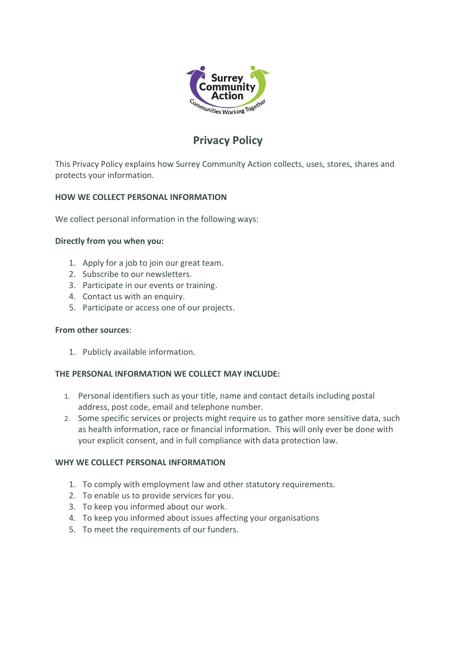

# **Privacy Policy**

This Privacy Policy explains how Surrey Community Action collects, uses, stores, shares and protects your information.

# **HOW WE COLLECT PERSONAL INFORMATION**

We collect personal information in the following ways:

## **Directly from you when you:**

- 1. Apply for a job to join our great team.
- 2. Subscribe to our newsletters.
- 3. Participate in our events or training.
- 4. Contact us with an enquiry.
- 5. Participate or access one of our projects.

#### **From other sources**:

1. Publicly available information.

#### **THE PERSONAL INFORMATION WE COLLECT MAY INCLUDE:**

- 1. Personal identifiers such as your title, name and contact details including postal address, post code, email and telephone number.
- 2. Some specific services or projects might require us to gather more sensitive data, such as health information, race or financial information. This will only ever be done with your explicit consent, and in full compliance with data protection law.

# **WHY WE COLLECT PERSONAL INFORMATION**

- 1. To comply with employment law and other statutory requirements.
- 2. To enable us to provide services for you.
- 3. To keep you informed about our work.
- 4. To keep you informed about issues affecting your organisations
- 5. To meet the requirements of our funders.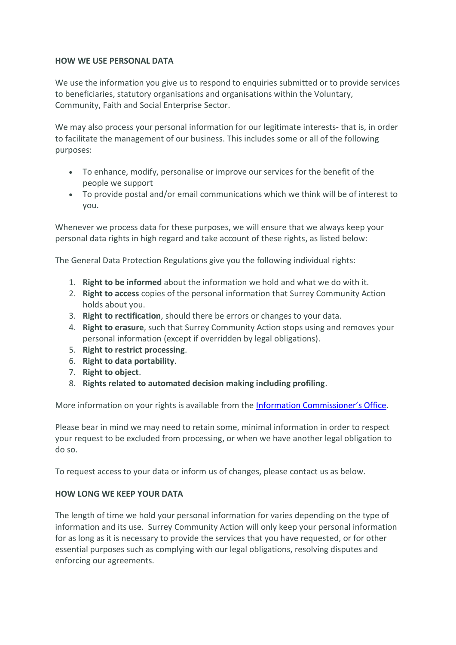## **HOW WE USE PERSONAL DATA**

We use the information you give us to respond to enquiries submitted or to provide services to beneficiaries, statutory organisations and organisations within the Voluntary, Community, Faith and Social Enterprise Sector.

We may also process your personal information for our legitimate interests- that is, in order to facilitate the management of our business. This includes some or all of the following purposes:

- To enhance, modify, personalise or improve our services for the benefit of the people we support
- To provide postal and/or email communications which we think will be of interest to you.

Whenever we process data for these purposes, we will ensure that we always keep your personal data rights in high regard and take account of these rights, as listed below:

The General Data Protection Regulations give you the following individual rights:

- 1. **Right to be informed** about the information we hold and what we do with it.
- 2. **Right to access** copies of the personal information that Surrey Community Action holds about you.
- 3. **Right to rectification**, should there be errors or changes to your data.
- 4. **Right to erasure**, such that Surrey Community Action stops using and removes your personal information (except if overridden by legal obligations).
- 5. **Right to restrict processing**.
- 6. **Right to data portability**.
- 7. **Right to object**.
- 8. **Rights related to automated decision making including profiling**.

More information on your rights is available from the **[Information Commissioner's Office](https://ico.org.uk/for-organisations/guide-to-the-general-data-protection-regulation-gdpr/individual-rights/)**.

Please bear in mind we may need to retain some, minimal information in order to respect your request to be excluded from processing, or when we have another legal obligation to do so.

To request access to your data or inform us of changes, please contact us as below.

#### **HOW LONG WE KEEP YOUR DATA**

The length of time we hold your personal information for varies depending on the type of information and its use. Surrey Community Action will only keep your personal information for as long as it is necessary to provide the services that you have requested, or for other essential purposes such as complying with our legal obligations, resolving disputes and enforcing our agreements.